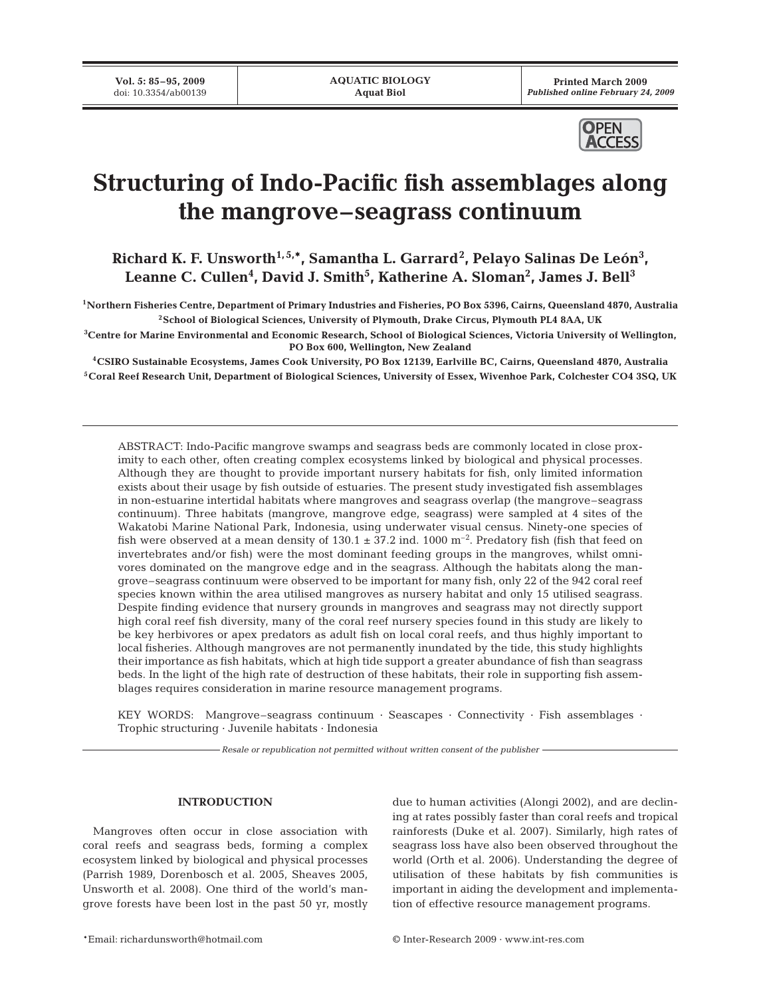**Vol. 5: 85–95, 2009** doi: 10.3354/ab00139



# **Structuring of Indo-Pacific fish assemblages along the mangrove–seagrass continuum**

Richard K. F. Unsworth<sup>1,5,\*</sup>, Samantha L. Garrard<sup>2</sup>, Pelayo Salinas De León<sup>3</sup>, Leanne C. Cullen<sup>4</sup>, David J. Smith<sup>5</sup>, Katherine A. Sloman<sup>2</sup>, James J. Bell<sup>3</sup>

**1Northern Fisheries Centre, Department of Primary Industries and Fisheries, PO Box 5396, Cairns, Queensland 4870, Australia 2School of Biological Sciences, University of Plymouth, Drake Circus, Plymouth PL4 8AA, UK**

**3 Centre for Marine Environmental and Economic Research, School of Biological Sciences, Victoria University of Wellington, PO Box 600, Wellington, New Zealand**

**4CSIRO Sustainable Ecosystems, James Cook University, PO Box 12139, Earlville BC, Cairns, Queensland 4870, Australia 5Coral Reef Research Unit, Department of Biological Sciences, University of Essex, Wivenhoe Park, Colchester CO4 3SQ, UK**

ABSTRACT: Indo-Pacific mangrove swamps and seagrass beds are commonly located in close proximity to each other, often creating complex ecosystems linked by biological and physical processes. Although they are thought to provide important nursery habitats for fish, only limited information exists about their usage by fish outside of estuaries. The present study investigated fish assemblages in non-estuarine intertidal habitats where mangroves and seagrass overlap (the mangrove–seagrass continuum). Three habitats (mangrove, mangrove edge, seagrass) were sampled at 4 sites of the Wakatobi Marine National Park, Indonesia, using underwater visual census. Ninety-one species of fish were observed at a mean density of  $130.1 \pm 37.2$  ind.  $1000 \text{ m}^{-2}$ . Predatory fish (fish that feed on invertebrates and/or fish) were the most dominant feeding groups in the mangroves, whilst omnivores dominated on the mangrove edge and in the seagrass. Although the habitats along the mangrove–seagrass continuum were observed to be important for many fish, only 22 of the 942 coral reef species known within the area utilised mangroves as nursery habitat and only 15 utilised seagrass. Despite finding evidence that nursery grounds in mangroves and seagrass may not directly support high coral reef fish diversity, many of the coral reef nursery species found in this study are likely to be key herbivores or apex predators as adult fish on local coral reefs, and thus highly important to local fisheries. Although mangroves are not permanently inundated by the tide, this study highlights their importance as fish habitats, which at high tide support a greater abundance of fish than seagrass beds. In the light of the high rate of destruction of these habitats, their role in supporting fish assemblages requires consideration in marine resource management programs.

KEY WORDS: Mangrove–seagrass continuum · Seascapes · Connectivity · Fish assemblages · Trophic structuring · Juvenile habitats · Indonesia

*Resale or republication not permitted without written consent of the publisher*

## **INTRODUCTION**

Mangroves often occur in close association with coral reefs and seagrass beds, forming a complex ecosystem linked by biological and physical processes (Parrish 1989, Dorenbosch et al. 2005, Sheaves 2005, Unsworth et al. 2008). One third of the world's mangrove forests have been lost in the past 50 yr, mostly due to human activities (Alongi 2002), and are declining at rates possibly faster than coral reefs and tropical rainforests (Duke et al. 2007). Similarly, high rates of seagrass loss have also been observed throughout the world (Orth et al. 2006). Understanding the degree of utilisation of these habitats by fish communities is important in aiding the development and implementation of effective resource management programs.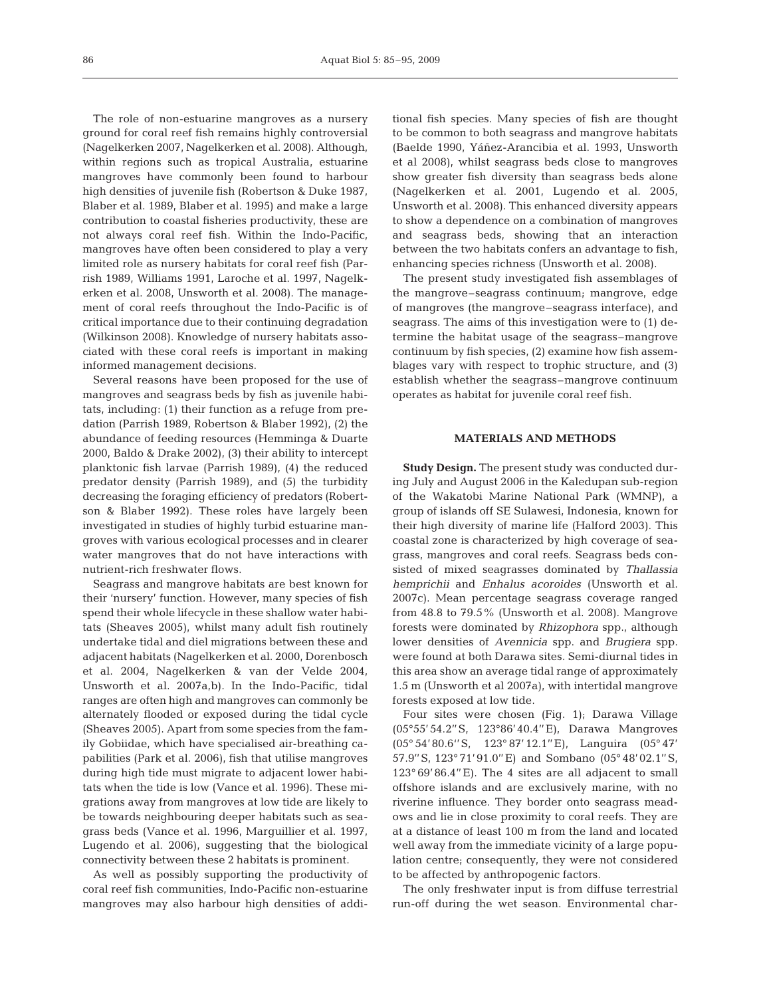The role of non-estuarine mangroves as a nursery ground for coral reef fish remains highly controversial (Nagelkerken 2007, Nagelkerken et al. 2008). Although, within regions such as tropical Australia, estuarine mangroves have commonly been found to harbour high densities of juvenile fish (Robertson & Duke 1987, Blaber et al. 1989, Blaber et al. 1995) and make a large contribution to coastal fisheries productivity, these are not always coral reef fish. Within the Indo-Pacific, mangroves have often been considered to play a very limited role as nursery habitats for coral reef fish (Parrish 1989, Williams 1991, Laroche et al. 1997, Nagelkerken et al. 2008, Unsworth et al. 2008). The management of coral reefs throughout the Indo-Pacific is of critical importance due to their continuing degradation (Wilkinson 2008). Knowledge of nursery habitats associated with these coral reefs is important in making informed management decisions.

Several reasons have been proposed for the use of mangroves and seagrass beds by fish as juvenile habitats, including: (1) their function as a refuge from predation (Parrish 1989, Robertson & Blaber 1992), (2) the abundance of feeding resources (Hemminga & Duarte 2000, Baldo & Drake 2002), (3) their ability to intercept planktonic fish larvae (Parrish 1989), (4) the reduced predator density (Parrish 1989), and (5) the turbidity decreasing the foraging efficiency of predators (Robertson & Blaber 1992). These roles have largely been investigated in studies of highly turbid estuarine mangroves with various ecological processes and in clearer water mangroves that do not have interactions with nutrient-rich freshwater flows.

Seagrass and mangrove habitats are best known for their 'nursery' function. However, many species of fish spend their whole lifecycle in these shallow water habitats (Sheaves 2005), whilst many adult fish routinely undertake tidal and diel migrations between these and adjacent habitats (Nagelkerken et al. 2000, Dorenbosch et al. 2004, Nagelkerken & van der Velde 2004, Unsworth et al. 2007a,b). In the Indo-Pacific, tidal ranges are often high and mangroves can commonly be alternately flooded or exposed during the tidal cycle (Sheaves 2005). Apart from some species from the family Gobiidae, which have specialised air-breathing capabilities (Park et al. 2006), fish that utilise mangroves during high tide must migrate to adjacent lower habitats when the tide is low (Vance et al. 1996). These migrations away from mangroves at low tide are likely to be towards neighbouring deeper habitats such as seagrass beds (Vance et al. 1996, Marguillier et al. 1997, Lugendo et al. 2006), suggesting that the biological connectivity between these 2 habitats is prominent.

As well as possibly supporting the productivity of coral reef fish communities, Indo-Pacific non-estuarine mangroves may also harbour high densities of additional fish species. Many species of fish are thought to be common to both seagrass and mangrove habitats (Baelde 1990, Yáñez-Arancibia et al. 1993, Unsworth et al 2008), whilst seagrass beds close to mangroves show greater fish diversity than seagrass beds alone (Nagelkerken et al. 2001, Lugendo et al. 2005, Unsworth et al. 2008). This enhanced diversity appears to show a dependence on a combination of mangroves and seagrass beds, showing that an interaction between the two habitats confers an advantage to fish, enhancing species richness (Unsworth et al. 2008).

The present study investigated fish assemblages of the mangrove–seagrass continuum; mangrove, edge of mangroves (the mangrove–seagrass interface), and seagrass. The aims of this investigation were to (1) determine the habitat usage of the seagrass–mangrove continuum by fish species, (2) examine how fish assemblages vary with respect to trophic structure, and (3) establish whether the seagrass–mangrove continuum operates as habitat for juvenile coral reef fish.

### **MATERIALS AND METHODS**

**Study Design.** The present study was conducted during July and August 2006 in the Kaledupan sub-region of the Wakatobi Marine National Park (WMNP), a group of islands off SE Sulawesi, Indonesia, known for their high diversity of marine life (Halford 2003). This coastal zone is characterized by high coverage of seagrass, mangroves and coral reefs. Seagrass beds consisted of mixed seagrasses dominated by *Thallassia hemprichii* and *Enhalus acoroides* (Unsworth et al. 2007c). Mean percentage seagrass coverage ranged from 48.8 to 79.5% (Unsworth et al. 2008). Mangrove forests were dominated by *Rhizophora* spp., although lower densities of *Avennicia* spp. and *Brugiera* spp. were found at both Darawa sites. Semi-diurnal tides in this area show an average tidal range of approximately 1.5 m (Unsworth et al 2007a), with intertidal mangrove forests exposed at low tide.

Four sites were chosen (Fig. 1); Darawa Village (05°55'54.2''S, 123°86'40.4''E), Darawa Mangroves (05° 54'80.6''S, 123° 87'12.1''E), Languira (05° 47' 57.9''S, 123° 71'91.0''E) and Sombano (05° 48'02.1''S, 123° 69'86.4''E). The 4 sites are all adjacent to small offshore islands and are exclusively marine, with no riverine influence. They border onto seagrass meadows and lie in close proximity to coral reefs. They are at a distance of least 100 m from the land and located well away from the immediate vicinity of a large population centre; consequently, they were not considered to be affected by anthropogenic factors.

The only freshwater input is from diffuse terrestrial run-off during the wet season. Environmental char-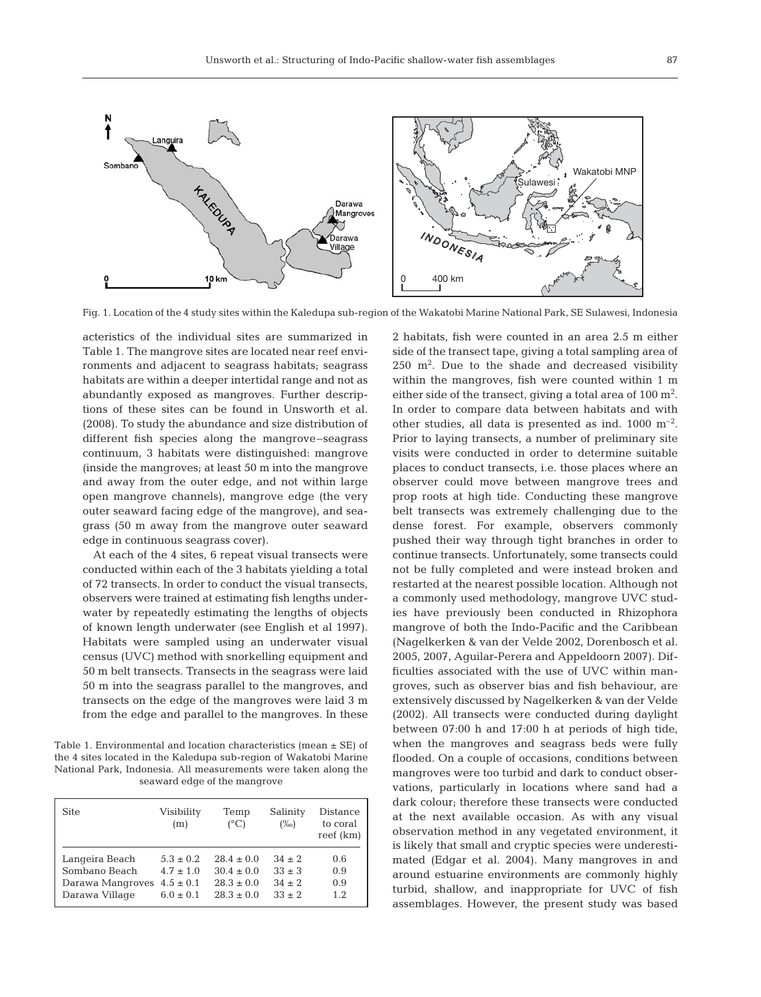

Fig. 1. Location of the 4 study sites within the Kaledupa sub-region of the Wakatobi Marine National Park, SE Sulawesi, Indonesia

acteristics of the individual sites are summarized in Table 1. The mangrove sites are located near reef environments and adjacent to seagrass habitats; seagrass habitats are within a deeper intertidal range and not as abundantly exposed as mangroves. Further descriptions of these sites can be found in Unsworth et al. (2008). To study the abundance and size distribution of different fish species along the mangrove–seagrass continuum, 3 habitats were distinguished: mangrove (inside the mangroves; at least 50 m into the mangrove and away from the outer edge, and not within large open mangrove channels), mangrove edge (the very outer seaward facing edge of the mangrove), and seagrass (50 m away from the mangrove outer seaward edge in continuous seagrass cover).

At each of the 4 sites, 6 repeat visual transects were conducted within each of the 3 habitats yielding a total of 72 transects. In order to conduct the visual transects, observers were trained at estimating fish lengths underwater by repeatedly estimating the lengths of objects of known length underwater (see English et al 1997). Habitats were sampled using an underwater visual census (UVC) method with snorkelling equipment and 50 m belt transects. Transects in the seagrass were laid 50 m into the seagrass parallel to the mangroves, and transects on the edge of the mangroves were laid 3 m from the edge and parallel to the mangroves. In these

Table 1. Environmental and location characteristics (mean  $\pm$  SE) of the 4 sites located in the Kaledupa sub-region of Wakatobi Marine National Park, Indonesia. All measurements were taken along the seaward edge of the mangrove

| <b>Site</b>      | Visibility<br>(m) | Temp<br>$(^{\circ}C)$ | Salinity<br>$(\%0)$ | Distance<br>to coral<br>reef (km) |
|------------------|-------------------|-----------------------|---------------------|-----------------------------------|
| Langeira Beach   | $5.3 \pm 0.2$     | $28.4 \pm 0.0$        | $34 \pm 2$          | 0.6                               |
| Sombano Beach    | $4.7 + 1.0$       | $30.4 \pm 0.0$        | $33 \pm 3$          | 0.9                               |
| Darawa Mangroves | $4.5 \pm 0.1$     | $28.3 \pm 0.0$        | $34 + 2$            | 0.9                               |
| Darawa Village   | $6.0 \pm 0.1$     | $28.3 + 0.0$          | $33 + 2$            | 1.2.                              |

2 habitats, fish were counted in an area 2.5 m either side of the transect tape, giving a total sampling area of  $250 \, \text{m}^2$ . Due to the shade and decreased visibility within the mangroves, fish were counted within 1 m either side of the transect, giving a total area of  $100 \text{ m}^2$ . In order to compare data between habitats and with other studies, all data is presented as ind.  $1000 \text{ m}^{-2}$ . Prior to laying transects, a number of preliminary site visits were conducted in order to determine suitable places to conduct transects, i.e. those places where an observer could move between mangrove trees and prop roots at high tide. Conducting these mangrove belt transects was extremely challenging due to the dense forest. For example, observers commonly pushed their way through tight branches in order to continue transects. Unfortunately, some transects could not be fully completed and were instead broken and restarted at the nearest possible location. Although not a commonly used methodology, mangrove UVC studies have previously been conducted in Rhizophora mangrove of both the Indo-Pacific and the Caribbean (Nagelkerken & van der Velde 2002, Dorenbosch et al. 2005, 2007, Aguilar-Perera and Appeldoorn 2007). Difficulties associated with the use of UVC within mangroves, such as observer bias and fish behaviour, are extensively discussed by Nagelkerken & van der Velde (2002). All transects were conducted during daylight between 07:00 h and 17:00 h at periods of high tide, when the mangroves and seagrass beds were fully flooded. On a couple of occasions, conditions between mangroves were too turbid and dark to conduct observations, particularly in locations where sand had a dark colour; therefore these transects were conducted at the next available occasion. As with any visual observation method in any vegetated environment, it is likely that small and cryptic species were underestimated (Edgar et al. 2004). Many mangroves in and around estuarine environments are commonly highly turbid, shallow, and inappropriate for UVC of fish assemblages. However, the present study was based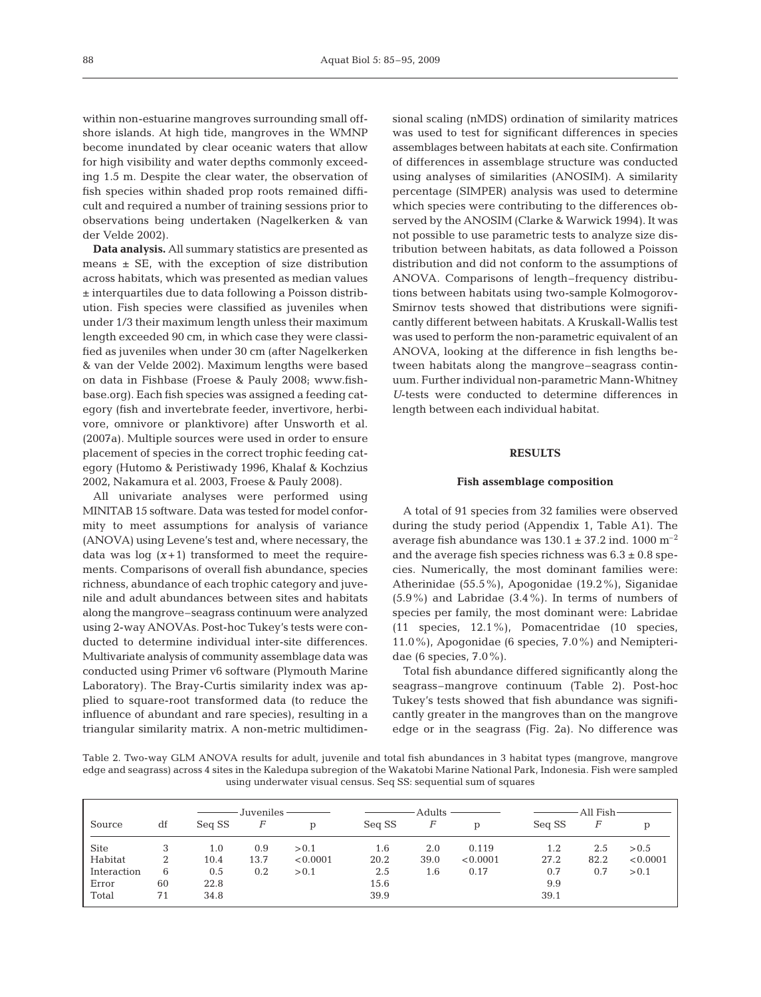within non-estuarine mangroves surrounding small offshore islands. At high tide, mangroves in the WMNP become inundated by clear oceanic waters that allow for high visibility and water depths commonly exceeding 1.5 m. Despite the clear water, the observation of fish species within shaded prop roots remained difficult and required a number of training sessions prior to observations being undertaken (Nagelkerken & van der Velde 2002).

**Data analysis.** All summary statistics are presented as means  $\pm$  SE, with the exception of size distribution across habitats, which was presented as median values ± interquartiles due to data following a Poisson distribution. Fish species were classified as juveniles when under 1/3 their maximum length unless their maximum length exceeded 90 cm, in which case they were classified as juveniles when under 30 cm (after Nagelkerken & van der Velde 2002). Maximum lengths were based on data in Fishbase (Froese & Pauly 2008; www.fishbase.org). Each fish species was assigned a feeding category (fish and invertebrate feeder, invertivore, herbivore, omnivore or planktivore) after Unsworth et al. (2007a). Multiple sources were used in order to ensure placement of species in the correct trophic feeding category (Hutomo & Peristiwady 1996, Khalaf & Kochzius 2002, Nakamura et al. 2003, Froese & Pauly 2008).

All univariate analyses were performed using MINITAB 15 software. Data was tested for model conformity to meet assumptions for analysis of variance (ANOVA) using Levene's test and, where necessary, the data was  $log(x+1)$  transformed to meet the requirements. Comparisons of overall fish abundance, species richness, abundance of each trophic category and juvenile and adult abundances between sites and habitats along the mangrove–seagrass continuum were analyzed using 2-way ANOVAs. Post-hoc Tukey's tests were conducted to determine individual inter-site differences. Multivariate analysis of community assemblage data was conducted using Primer v6 software (Plymouth Marine Laboratory). The Bray-Curtis similarity index was applied to square-root transformed data (to reduce the influence of abundant and rare species), resulting in a triangular similarity matrix. A non-metric multidimensional scaling (nMDS) ordination of similarity matrices was used to test for significant differences in species assemblages between habitats at each site. Confirmation of differences in assemblage structure was conducted using analyses of similarities (ANOSIM). A similarity percentage (SIMPER) analysis was used to determine which species were contributing to the differences observed by the ANOSIM (Clarke & Warwick 1994). It was not possible to use parametric tests to analyze size distribution between habitats, as data followed a Poisson distribution and did not conform to the assumptions of ANOVA. Comparisons of length–frequency distributions between habitats using two-sample Kolmogorov-Smirnov tests showed that distributions were significantly different between habitats. A Kruskall-Wallis test was used to perform the non-parametric equivalent of an ANOVA, looking at the difference in fish lengths between habitats along the mangrove–seagrass continuum. Further individual non-parametric Mann-Whitney *U*-tests were conducted to determine differences in length between each individual habitat.

#### **RESULTS**

#### **Fish assemblage composition**

A total of 91 species from 32 families were observed during the study period (Appendix 1, Table A1). The average fish abundance was  $130.1 \pm 37.2$  ind.  $1000 \text{ m}^{-2}$ and the average fish species richness was  $6.3 \pm 0.8$  species. Numerically, the most dominant families were: Atherinidae (55.5%), Apogonidae (19.2%), Siganidae (5.9%) and Labridae (3.4%). In terms of numbers of species per family, the most dominant were: Labridae (11 species, 12.1%), Pomacentridae (10 species, 11.0%), Apogonidae (6 species, 7.0%) and Nemipteridae (6 species, 7.0%).

Total fish abundance differed significantly along the seagrass–mangrove continuum (Table 2). Post-hoc Tukey's tests showed that fish abundance was significantly greater in the mangroves than on the mangrove edge or in the seagrass (Fig. 2a). No difference was

Table 2. Two-way GLM ANOVA results for adult, juvenile and total fish abundances in 3 habitat types (mangrove, mangrove edge and seagrass) across 4 sites in the Kaledupa subregion of the Wakatobi Marine National Park, Indonesia. Fish were sampled using underwater visual census. Seq SS: sequential sum of squares

|             |                |        | Juveniles |              |        | Adults |          | All Fish |      |          |  |
|-------------|----------------|--------|-----------|--------------|--------|--------|----------|----------|------|----------|--|
| Source      | df             | Seq SS | F         | <sub>n</sub> | Seq SS | F      | D        | Seq SS   | F    | D        |  |
| <b>Site</b> | 3              | 1.0    | 0.9       | > 0.1        | 1.6    | 2.0    | 0.119    | 1.2      | 2.5  | > 0.5    |  |
| Habitat     | $\overline{2}$ | 10.4   | 13.7      | < 0.0001     | 20.2   | 39.0   | < 0.0001 | 27.2     | 82.2 | < 0.0001 |  |
| Interaction | 6              | 0.5    | 0.2       | > 0.1        | 2.5    | 1.6    | 0.17     | 0.7      | 0.7  | > 0.1    |  |
| Error       | 60             | 22.8   |           |              | 15.6   |        |          | 9.9      |      |          |  |
| Total       | 71             | 34.8   |           |              | 39.9   |        |          | 39.1     |      |          |  |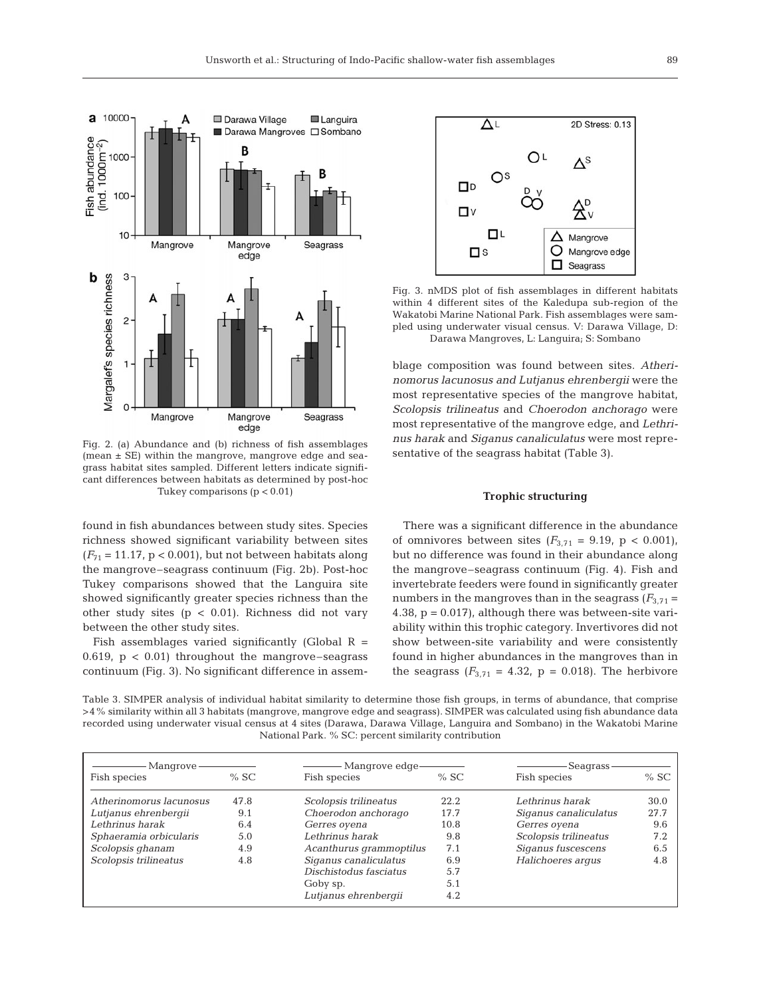

Fig. 2. (a) Abundance and (b) richness of fish assemblages (mean  $\pm$  SE) within the mangrove, mangrove edge and seagrass habitat sites sampled. Different letters indicate significant differences between habitats as determined by post-hoc Tukey comparisons  $(p < 0.01)$ 

found in fish abundances between study sites. Species richness showed significant variability between sites  $(F_{71} = 11.17, p < 0.001)$ , but not between habitats along the mangrove–seagrass continuum (Fig. 2b). Post-hoc Tukey comparisons showed that the Languira site showed significantly greater species richness than the other study sites  $(p < 0.01)$ . Richness did not vary between the other study sites.

Fish assemblages varied significantly (Global  $R =$ 0.619,  $p < 0.01$ ) throughout the mangrove–seagrass continuum (Fig. 3). No significant difference in assem-



Fig. 3. nMDS plot of fish assemblages in different habitats within 4 different sites of the Kaledupa sub-region of the Wakatobi Marine National Park. Fish assemblages were sampled using underwater visual census. V: Darawa Village, D: Darawa Mangroves, L: Languira; S: Sombano

blage composition was found between sites. *Atherinomorus lacunosus and Lutjanus ehrenbergii* were the most representative species of the mangrove habitat, *Scolopsis trilineatus* and *Choerodon anchorago* were most representative of the mangrove edge, and *Lethrinus harak* and *Siganus canaliculatus* were most representative of the seagrass habitat (Table 3).

#### **Trophic structuring**

There was a significant difference in the abundance of omnivores between sites  $(F_{3,71} = 9.19, p < 0.001)$ , but no difference was found in their abundance along the mangrove–seagrass continuum (Fig. 4). Fish and invertebrate feeders were found in significantly greater numbers in the mangroves than in the seagrass  $(F_{3,71} =$ 4.38,  $p = 0.017$ , although there was between-site variability within this trophic category. Invertivores did not show between-site variability and were consistently found in higher abundances in the mangroves than in the seagrass ( $F_{3,71} = 4.32$ ,  $p = 0.018$ ). The herbivore

Table 3. SIMPER analysis of individual habitat similarity to determine those fish groups, in terms of abundance, that comprise >4% similarity within all 3 habitats (mangrove, mangrove edge and seagrass). SIMPER was calculated using fish abundance data recorded using underwater visual census at 4 sites (Darawa, Darawa Village, Languira and Sombano) in the Wakatobi Marine National Park. % SC: percent similarity contribution

| Mangrove-               |      | Mangrove edge-          |      | Seagrass              |      |  |  |  |
|-------------------------|------|-------------------------|------|-----------------------|------|--|--|--|
| Fish species            | % SC | Fish species            | % SC | Fish species          | % SC |  |  |  |
| Atherinomorus lacunosus | 47.8 | Scolopsis trilineatus   | 22.2 | Lethrinus harak       | 30.0 |  |  |  |
| Lutjanus ehrenbergii    | 9.1  | Choerodon anchorago     | 17.7 | Siganus canaliculatus | 27.7 |  |  |  |
| Lethrinus harak         | 6.4  | Gerres oyena            | 10.8 | Gerres oyena          | 9.6  |  |  |  |
| Sphaeramia orbicularis  | 5.0  | Lethrinus harak         | 9.8  | Scolopsis trilineatus | 7.2  |  |  |  |
| Scolopsis ghanam        | 4.9  | Acanthurus grammoptilus | 7.1  | Siganus fuscescens    | 6.5  |  |  |  |
| Scolopsis trilineatus   | 4.8  | Siganus canaliculatus   | 6.9  | Halichoeres arqus     | 4.8  |  |  |  |
|                         |      | Dischistodus fasciatus  | 5.7  |                       |      |  |  |  |
|                         |      | Goby sp.                | 5.1  |                       |      |  |  |  |
|                         |      | Lutjanus ehrenbergii    | 4.2  |                       |      |  |  |  |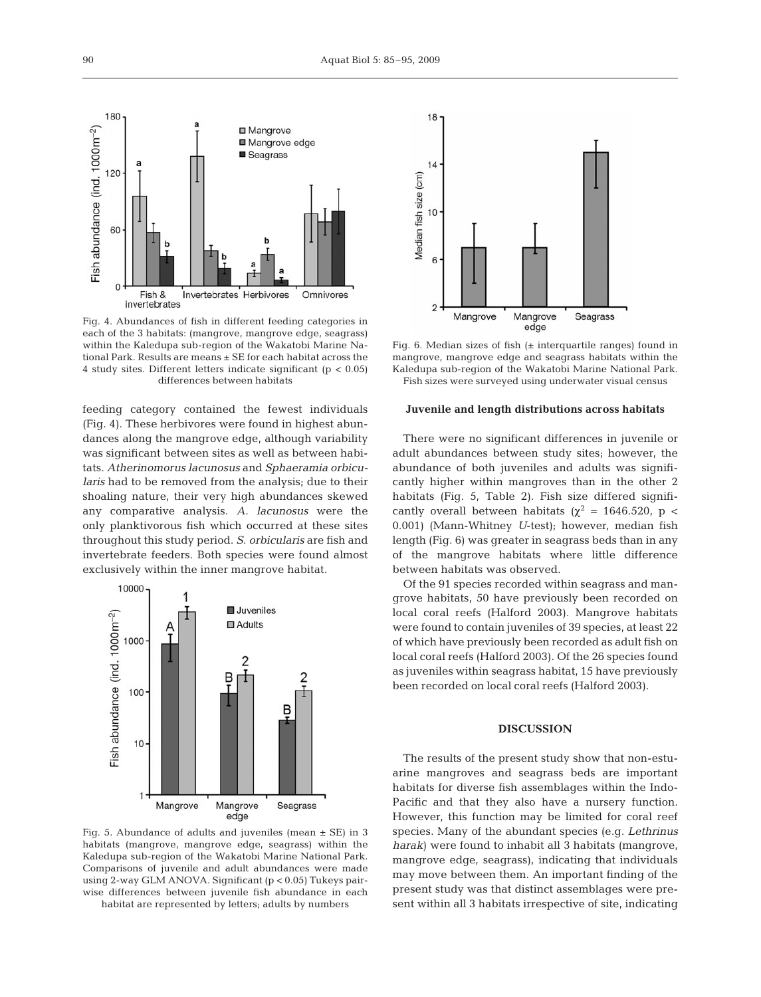

Fig. 4. Abundances of fish in different feeding categories in each of the 3 habitats: (mangrove, mangrove edge, seagrass) within the Kaledupa sub-region of the Wakatobi Marine National Park. Results are means ± SE for each habitat across the 4 study sites. Different letters indicate significant (p < 0.05) differences between habitats

feeding category contained the fewest individuals (Fig. 4). These herbivores were found in highest abundances along the mangrove edge, although variability was significant between sites as well as between habitats. *Atherinomorus lacunosus* and *Sphaeramia orbicularis* had to be removed from the analysis; due to their shoaling nature, their very high abundances skewed any comparative analysis. *A. lacunosus* were the only planktivorous fish which occurred at these sites throughout this study period. *S. orbicularis* are fish and invertebrate feeders. Both species were found almost exclusively within the inner mangrove habitat.



Fig. 5. Abundance of adults and juveniles (mean ± SE) in 3 habitats (mangrove, mangrove edge, seagrass) within the Kaledupa sub-region of the Wakatobi Marine National Park. Comparisons of juvenile and adult abundances were made using 2-way GLM ANOVA. Significant (p < 0.05) Tukeys pairwise differences between juvenile fish abundance in each

habitat are represented by letters; adults by numbers



Fig. 6. Median sizes of fish  $(\pm$  interquartile ranges) found in mangrove, mangrove edge and seagrass habitats within the Kaledupa sub-region of the Wakatobi Marine National Park. Fish sizes were surveyed using underwater visual census

#### **Juvenile and length distributions across habitats**

There were no significant differences in juvenile or adult abundances between study sites; however, the abundance of both juveniles and adults was significantly higher within mangroves than in the other 2 habitats (Fig. 5, Table 2). Fish size differed significantly overall between habitats ( $\chi^2$  = 1646.520, p < 0.001) (Mann-Whitney *U*-test); however, median fish length (Fig. 6) was greater in seagrass beds than in any of the mangrove habitats where little difference between habitats was observed.

Of the 91 species recorded within seagrass and mangrove habitats, 50 have previously been recorded on local coral reefs (Halford 2003). Mangrove habitats were found to contain juveniles of 39 species, at least 22 of which have previously been recorded as adult fish on local coral reefs (Halford 2003). Of the 26 species found as juveniles within seagrass habitat, 15 have previously been recorded on local coral reefs (Halford 2003).

#### **DISCUSSION**

The results of the present study show that non-estuarine mangroves and seagrass beds are important habitats for diverse fish assemblages within the Indo-Pacific and that they also have a nursery function. However, this function may be limited for coral reef species. Many of the abundant species (e.g. *Lethrinus harak*) were found to inhabit all 3 habitats (mangrove, mangrove edge, seagrass), indicating that individuals may move between them. An important finding of the present study was that distinct assemblages were present within all 3 habitats irrespective of site, indicating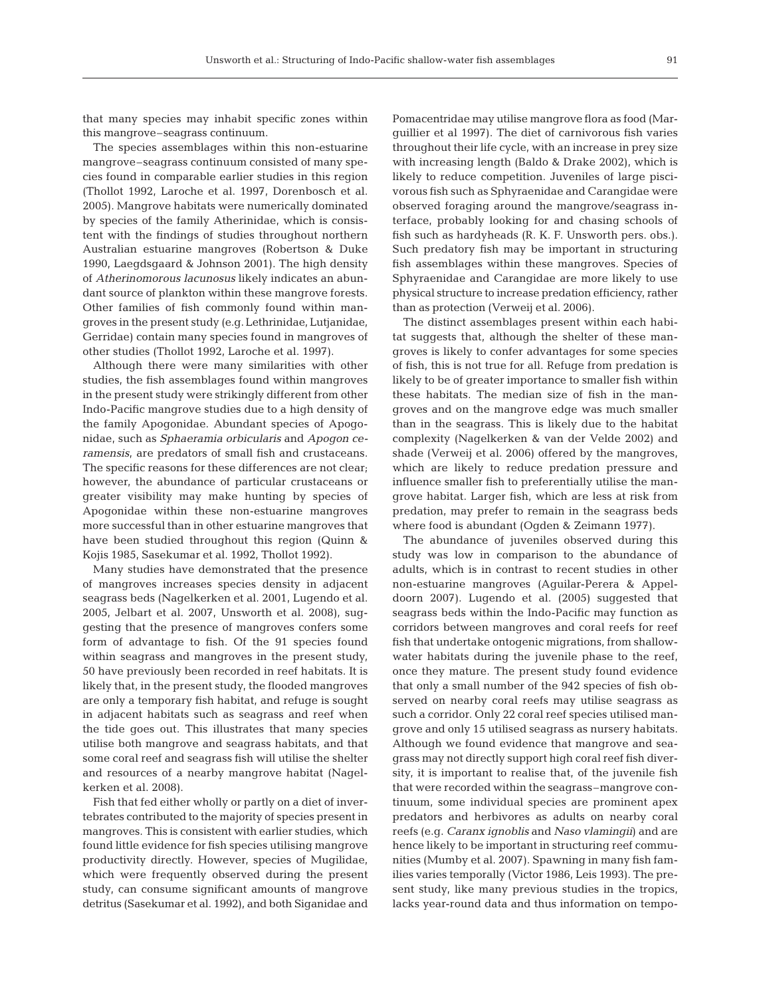that many species may inhabit specific zones within this mangrove–seagrass continuum.

The species assemblages within this non-estuarine mangrove–seagrass continuum consisted of many species found in comparable earlier studies in this region (Thollot 1992, Laroche et al. 1997, Dorenbosch et al. 2005). Mangrove habitats were numerically dominated by species of the family Atherinidae, which is consistent with the findings of studies throughout northern Australian estuarine mangroves (Robertson & Duke 1990, Laegdsgaard & Johnson 2001). The high density of *Atherinomorous lacunosus* likely indicates an abundant source of plankton within these mangrove forests. Other families of fish commonly found within mangroves in the present study (e.g. Lethrinidae, Lutjanidae, Gerridae) contain many species found in mangroves of other studies (Thollot 1992, Laroche et al. 1997).

Although there were many similarities with other studies, the fish assemblages found within mangroves in the present study were strikingly different from other Indo-Pacific mangrove studies due to a high density of the family Apogonidae. Abundant species of Apogonidae, such as *Sphaeramia orbicularis* and *Apogon ceramensis*, are predators of small fish and crustaceans. The specific reasons for these differences are not clear; however, the abundance of particular crustaceans or greater visibility may make hunting by species of Apogonidae within these non-estuarine mangroves more successful than in other estuarine mangroves that have been studied throughout this region (Quinn & Kojis 1985, Sasekumar et al. 1992, Thollot 1992).

Many studies have demonstrated that the presence of mangroves increases species density in adjacent seagrass beds (Nagelkerken et al. 2001, Lugendo et al. 2005, Jelbart et al. 2007, Unsworth et al. 2008), suggesting that the presence of mangroves confers some form of advantage to fish. Of the 91 species found within seagrass and mangroves in the present study, 50 have previously been recorded in reef habitats. It is likely that, in the present study, the flooded mangroves are only a temporary fish habitat, and refuge is sought in adjacent habitats such as seagrass and reef when the tide goes out. This illustrates that many species utilise both mangrove and seagrass habitats, and that some coral reef and seagrass fish will utilise the shelter and resources of a nearby mangrove habitat (Nagelkerken et al. 2008).

Fish that fed either wholly or partly on a diet of invertebrates contributed to the majority of species present in mangroves. This is consistent with earlier studies, which found little evidence for fish species utilising mangrove productivity directly. However, species of Mugilidae, which were frequently observed during the present study, can consume significant amounts of mangrove detritus (Sasekumar et al. 1992), and both Siganidae and Pomacentridae may utilise mangrove flora as food (Marguillier et al 1997). The diet of carnivorous fish varies throughout their life cycle, with an increase in prey size with increasing length (Baldo & Drake 2002), which is likely to reduce competition. Juveniles of large piscivorous fish such as Sphyraenidae and Carangidae were observed foraging around the mangrove/seagrass interface, probably looking for and chasing schools of fish such as hardyheads (R. K. F. Unsworth pers. obs.). Such predatory fish may be important in structuring fish assemblages within these mangroves. Species of Sphyraenidae and Carangidae are more likely to use physical structure to increase predation efficiency, rather than as protection (Verweij et al. 2006).

The distinct assemblages present within each habitat suggests that, although the shelter of these mangroves is likely to confer advantages for some species of fish, this is not true for all. Refuge from predation is likely to be of greater importance to smaller fish within these habitats. The median size of fish in the mangroves and on the mangrove edge was much smaller than in the seagrass. This is likely due to the habitat complexity (Nagelkerken & van der Velde 2002) and shade (Verweij et al. 2006) offered by the mangroves, which are likely to reduce predation pressure and influence smaller fish to preferentially utilise the mangrove habitat. Larger fish, which are less at risk from predation, may prefer to remain in the seagrass beds where food is abundant (Ogden & Zeimann 1977).

The abundance of juveniles observed during this study was low in comparison to the abundance of adults, which is in contrast to recent studies in other non-estuarine mangroves (Aguilar-Perera & Appeldoorn 2007). Lugendo et al. (2005) suggested that seagrass beds within the Indo-Pacific may function as corridors between mangroves and coral reefs for reef fish that undertake ontogenic migrations, from shallowwater habitats during the juvenile phase to the reef, once they mature. The present study found evidence that only a small number of the 942 species of fish observed on nearby coral reefs may utilise seagrass as such a corridor. Only 22 coral reef species utilised mangrove and only 15 utilised seagrass as nursery habitats. Although we found evidence that mangrove and seagrass may not directly support high coral reef fish diversity, it is important to realise that, of the juvenile fish that were recorded within the seagrass–mangrove continuum, some individual species are prominent apex predators and herbivores as adults on nearby coral reefs (e.g. *Caranx ignoblis* and *Naso vlamingii*) and are hence likely to be important in structuring reef communities (Mumby et al. 2007). Spawning in many fish families varies temporally (Victor 1986, Leis 1993). The present study, like many previous studies in the tropics, lacks year-round data and thus information on tempo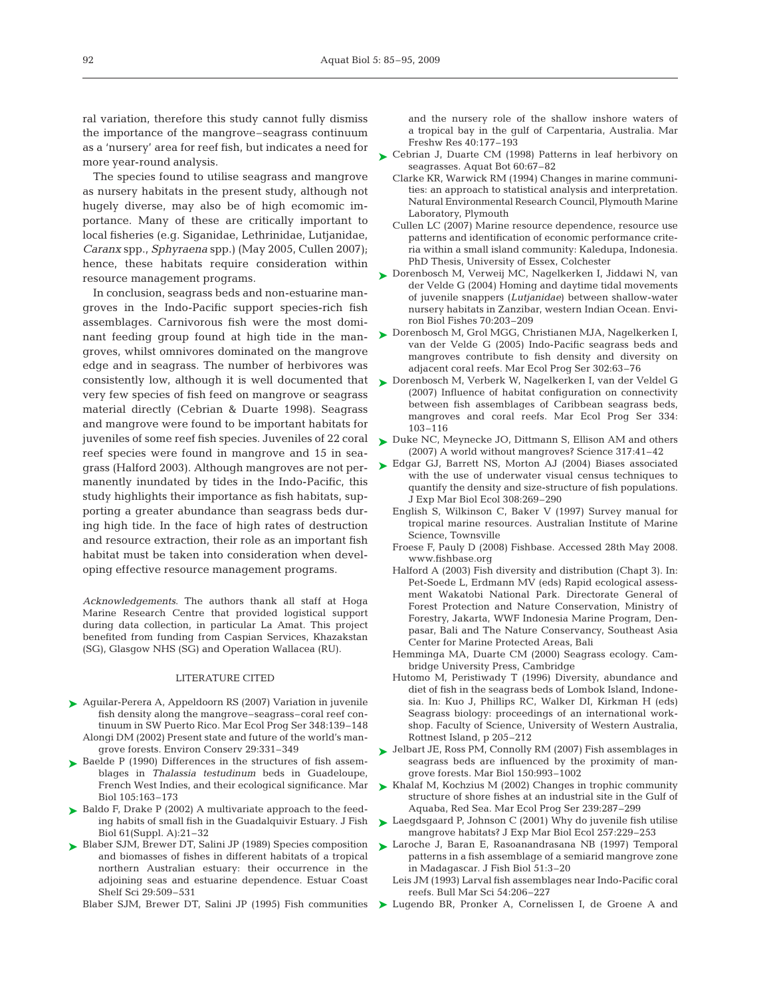ral variation, therefore this study cannot fully dismiss the importance of the mangrove–seagrass continuum as a 'nursery' area for reef fish, but indicates a need for more year-round analysis.

The species found to utilise seagrass and mangrove as nursery habitats in the present study, although not hugely diverse, may also be of high ecomomic importance. Many of these are critically important to local fisheries (e.g. Siganidae, Lethrinidae, Lutjanidae, *Caranx* spp., *Sphyraena* spp.) (May 2005, Cullen 2007); hence, these habitats require consideration within resource management programs.

In conclusion, seagrass beds and non-estuarine mangroves in the Indo-Pacific support species-rich fish assemblages. Carnivorous fish were the most dominant feeding group found at high tide in the mangroves, whilst omnivores dominated on the mangrove edge and in seagrass. The number of herbivores was very few species of fish feed on mangrove or seagrass material directly (Cebrian & Duarte 1998). Seagrass and mangrove were found to be important habitats for juveniles of some reef fish species. Juveniles of 22 coral reef species were found in mangrove and 15 in seagrass (Halford 2003). Although mangroves are not permanently inundated by tides in the Indo-Pacific, this study highlights their importance as fish habitats, supporting a greater abundance than seagrass beds during high tide. In the face of high rates of destruction and resource extraction, their role as an important fish habitat must be taken into consideration when developing effective resource management programs.

*Acknowledgements*. The authors thank all staff at Hoga Marine Research Centre that provided logistical support during data collection, in particular La Amat. This project benefited from funding from Caspian Services, Khazakstan (SG), Glasgow NHS (SG) and Operation Wallacea (RU).

#### LITERATURE CITED

- ► Aguilar-Perera A, Appeldoorn RS (2007) Variation in juvenile fish density along the mangrove–seagrass–coral reef continuum in SW Puerto Rico. Mar Ecol Prog Ser 348:139–148 Alongi DM (2002) Present state and future of the world's mangrove forests. Environ Conserv 29:331–349
- ▶ Baelde P (1990) Differences in the structures of fish assemblages in *Thalassia testudinum* beds in Guadeloupe, French West Indies, and their ecological significance. Mar Biol 105:163–173
- ► Baldo F, Drake P (2002) A multivariate approach to the feeding habits of small fish in the Guadalquivir Estuary. J Fish Biol 61(Suppl. A):21–32
- ► Blaber SJM, Brewer DT, Salini JP (1989) Species composition and biomasses of fishes in different habitats of a tropical northern Australian estuary: their occurrence in the adjoining seas and estuarine dependence. Estuar Coast Shelf Sci 29:509–531

Blaber SJM, Brewer DT, Salini JP (1995) Fish communities

and the nursery role of the shallow inshore waters of a tropical bay in the gulf of Carpentaria, Australia. Mar Freshw Res 40:177–193

- ► Cebrian J, Duarte CM (1998) Patterns in leaf herbivory on seagrasses. Aquat Bot 60:67–82
	- Clarke KR, Warwick RM (1994) Changes in marine communities: an approach to statistical analysis and interpretation. Natural Environmental Research Council, Plymouth Marine Laboratory, Plymouth
	- Cullen LC (2007) Marine resource dependence, resource use patterns and identification of economic performance criteria within a small island community: Kaledupa, Indonesia. PhD Thesis, University of Essex, Colchester
- ► Dorenbosch M, Verweij MC, Nagelkerken I, Jiddawi N, van der Velde G (2004) Homing and daytime tidal movements of juvenile snappers (*Lutjanidae*) between shallow-water nursery habitats in Zanzibar, western Indian Ocean. Environ Biol Fishes 70:203–209
- Dorenbosch M, Grol MGG, Christianen MJA, Nagelkerken I, ➤ van der Velde G (2005) Indo-Pacific seagrass beds and mangroves contribute to fish density and diversity on adjacent coral reefs. Mar Ecol Prog Ser 302:63–76
- consistently low, although it is well documented that Dorenbosch M, Verberk W, Nagelkerken I, van der Veldel G ➤ (2007) Influence of habitat configuration on connectivity between fish assemblages of Caribbean seagrass beds, mangroves and coral reefs. Mar Ecol Prog Ser 334: 103–116
	- ► Duke NC, Meynecke JO, Dittmann S, Ellison AM and others (2007) A world without mangroves? Science 317:41–42
	- ► Edgar GJ, Barrett NS, Morton AJ (2004) Biases associated with the use of underwater visual census techniques to quantify the density and size-structure of fish populations. J Exp Mar Biol Ecol 308:269–290
		- English S, Wilkinson C, Baker V (1997) Survey manual for tropical marine resources. Australian Institute of Marine Science, Townsville
		- Froese F, Pauly D (2008) Fishbase. Accessed 28th May 2008. www.fishbase.org
		- Halford A (2003) Fish diversity and distribution (Chapt 3). In: Pet-Soede L, Erdmann MV (eds) Rapid ecological assessment Wakatobi National Park. Directorate General of Forest Protection and Nature Conservation, Ministry of Forestry, Jakarta, WWF Indonesia Marine Program, Denpasar, Bali and The Nature Conservancy, Southeast Asia Center for Marine Protected Areas, Bali
		- Hemminga MA, Duarte CM (2000) Seagrass ecology. Cambridge University Press, Cambridge
		- Hutomo M, Peristiwady T (1996) Diversity, abundance and diet of fish in the seagrass beds of Lombok Island, Indonesia. In: Kuo J, Phillips RC, Walker DI, Kirkman H (eds) Seagrass biology: proceedings of an international workshop. Faculty of Science, University of Western Australia, Rottnest Island, p 205–212
	- ▶ Jelbart JE, Ross PM, Connolly RM (2007) Fish assemblages in seagrass beds are influenced by the proximity of mangrove forests. Mar Biol 150:993–1002
	- ► Khalaf M, Kochzius M (2002) Changes in trophic community structure of shore fishes at an industrial site in the Gulf of Aquaba, Red Sea. Mar Ecol Prog Ser 239:287–299
	- ► Laegdsgaard P, Johnson C (2001) Why do juvenile fish utilise mangrove habitats? J Exp Mar Biol Ecol 257:229–253
	- ► Laroche J, Baran E, Rasoanandrasana NB (1997) Temporal patterns in a fish assemblage of a semiarid mangrove zone in Madagascar. J Fish Biol 51:3–20
		- Leis JM (1993) Larval fish assemblages near Indo-Pacific coral reefs. Bull Mar Sci 54:206–227
	- ▶ Lugendo BR, Pronker A, Cornelissen I, de Groene A and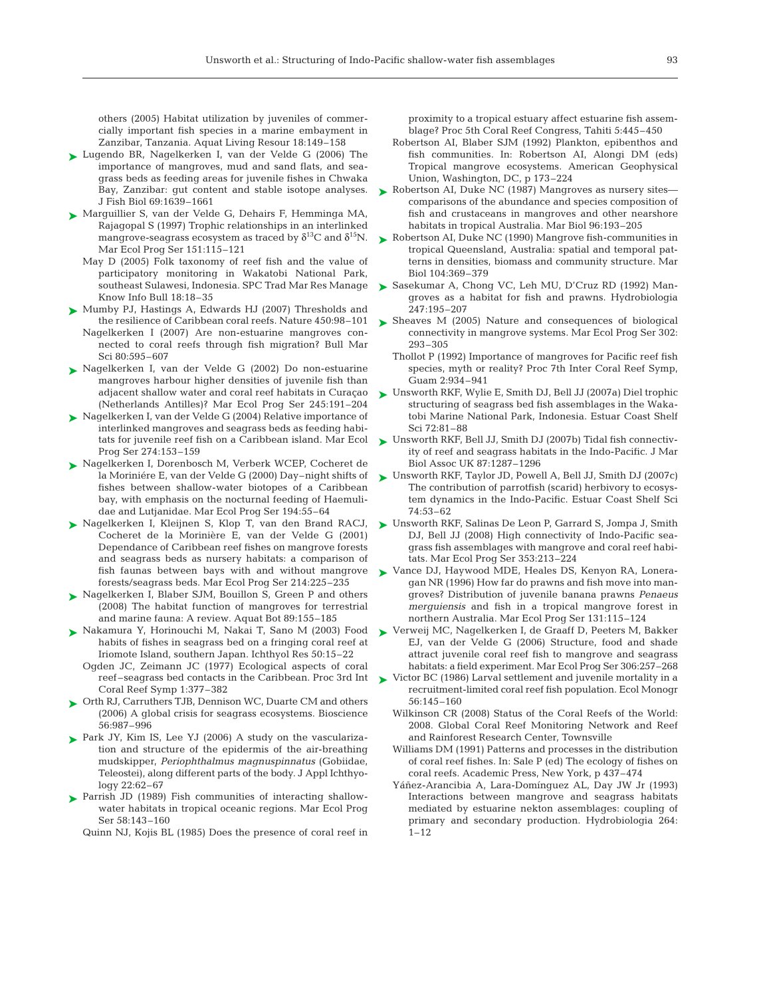others (2005) Habitat utilization by juveniles of commercially important fish species in a marine embayment in Zanzibar, Tanzania. Aquat Living Resour 18:149–158

- Lugendo BR, Nagelkerken I, van der Velde G (2006) The ➤ importance of mangroves, mud and sand flats, and seagrass beds as feeding areas for juvenile fishes in Chwaka Bay, Zanzibar: gut content and stable isotope analyses. J Fish Biol 69:1639–1661
- ► Marguillier S, van der Velde G, Dehairs F, Hemminga MA, Rajagopal S (1997) Trophic relationships in an interlinked mangrove-seagrass ecosystem as traced by  $\delta^{13}C$  and  $\delta^{15}N$ . Mar Ecol Prog Ser 151:115–121
	- May D (2005) Folk taxonomy of reef fish and the value of participatory monitoring in Wakatobi National Park, southeast Sulawesi, Indonesia. SPC Trad Mar Res Manage Know Info Bull 18:18–35
- ► Mumby PJ, Hastings A, Edwards HJ (2007) Thresholds and the resilience of Caribbean coral reefs. Nature 450:98–101 Nagelkerken I (2007) Are non-estuarine mangroves connected to coral reefs through fish migration? Bull Mar Sci 80:595–607
- Nagelkerken I, van der Velde G (2002) Do non-estuarine ➤ mangroves harbour higher densities of juvenile fish than adjacent shallow water and coral reef habitats in Curaçao (Netherlands Antilles)? Mar Ecol Prog Ser 245:191–204
- ► Nagelkerken I, van der Velde G (2004) Relative importance of interlinked mangroves and seagrass beds as feeding habitats for juvenile reef fish on a Caribbean island. Mar Ecol Prog Ser 274:153–159
- Nagelkerken I, Dorenbosch M, Verberk WCEP, Cocheret de ➤ la Moriniére E, van der Velde G (2000) Day–night shifts of fishes between shallow-water biotopes of a Caribbean bay, with emphasis on the nocturnal feeding of Haemulidae and Lutjanidae. Mar Ecol Prog Ser 194:55–64
- ► Nagelkerken I, Kleijnen S, Klop T, van den Brand RACJ, Cocheret de la Morinière E, van der Velde G (2001) Dependance of Caribbean reef fishes on mangrove forests and seagrass beds as nursery habitats: a comparison of fish faunas between bays with and without mangrove forests/seagrass beds. Mar Ecol Prog Ser 214:225–235
- ► Nagelkerken I, Blaber SJM, Bouillon S, Green P and others (2008) The habitat function of mangroves for terrestrial and marine fauna: A review. Aquat Bot 89:155–185
- ▶ Nakamura Y, Horinouchi M, Nakai T, Sano M (2003) Food habits of fishes in seagrass bed on a fringing coral reef at Iriomote Island, southern Japan. Ichthyol Res 50:15–22
	- Ogden JC, Zeimann JC (1977) Ecological aspects of coral reef–seagrass bed contacts in the Caribbean. Proc 3rd Int  $\quad \blacktriangleright$  Victor BC (1986) Larval settlement and juvenile mortality in a Coral Reef Symp 1:377–382
- ► Orth RJ, Carruthers TJB, Dennison WC, Duarte CM and others (2006) A global crisis for seagrass ecosystems. Bioscience 56:987–996
- ▶ Park JY, Kim IS, Lee YJ (2006) A study on the vascularization and structure of the epidermis of the air-breathing mudskipper, *Periophthalmus magnuspinnatus* (Gobiidae, Teleostei), along different parts of the body. J Appl Ichthyology 22:62–67
- ▶ Parrish JD (1989) Fish communities of interacting shallowwater habitats in tropical oceanic regions. Mar Ecol Prog Ser 58:143–160

Quinn NJ, Kojis BL (1985) Does the presence of coral reef in

proximity to a tropical estuary affect estuarine fish assemblage? Proc 5th Coral Reef Congress, Tahiti 5:445–450

- Robertson AI, Blaber SJM (1992) Plankton, epibenthos and fish communities. In: Robertson AI, Alongi DM (eds) Tropical mangrove ecosystems. American Geophysical Union, Washington, DC, p 173–224
- ► Robertson AI, Duke NC (1987) Mangroves as nursery sites comparisons of the abundance and species composition of fish and crustaceans in mangroves and other nearshore habitats in tropical Australia. Mar Biol 96:193–205
- ► Robertson AI, Duke NC (1990) Mangrove fish-communities in tropical Queensland, Australia: spatial and temporal patterns in densities, biomass and community structure. Mar Biol 104:369–379
- Sasekumar A, Chong VC, Leh MU, D'Cruz RD (1992) Mangroves as a habitat for fish and prawns. Hydrobiologia 247:195–207 ➤
- ► Sheaves M (2005) Nature and consequences of biological connectivity in mangrove systems. Mar Ecol Prog Ser 302: 293–305
	- Thollot P (1992) Importance of mangroves for Pacific reef fish species, myth or reality? Proc 7th Inter Coral Reef Symp, Guam 2:934–941
- Unsworth RKF, Wylie E, Smith DJ, Bell JJ (2007a) Diel trophic ➤ structuring of seagrass bed fish assemblages in the Wakatobi Marine National Park, Indonesia. Estuar Coast Shelf Sci 72:81–88
- Unsworth RKF, Bell JJ, Smith DJ (2007b) Tidal fish connectiv-➤ ity of reef and seagrass habitats in the Indo-Pacific. J Mar Biol Assoc UK 87:1287–1296
- Unsworth RKF, Taylor JD, Powell A, Bell JJ, Smith DJ (2007c) ➤ The contribution of parrotfish (scarid) herbivory to ecosystem dynamics in the Indo-Pacific. Estuar Coast Shelf Sci 74:53–62
- ► Unsworth RKF, Salinas De Leon P, Garrard S, Jompa J, Smith DJ, Bell JJ (2008) High connectivity of Indo-Pacific seagrass fish assemblages with mangrove and coral reef habitats. Mar Ecol Prog Ser 353:213–224
- ► Vance DJ, Haywood MDE, Heales DS, Kenyon RA, Loneragan NR (1996) How far do prawns and fish move into mangroves? Distribution of juvenile banana prawns *Penaeus merguiensis* and fish in a tropical mangrove forest in northern Australia. Mar Ecol Prog Ser 131:115–124
- Verweij MC, Nagelkerken I, de Graaff D, Peeters M, Bakker ➤ EJ, van der Velde G (2006) Structure, food and shade attract juvenile coral reef fish to mangrove and seagrass habitats: a field experiment. Mar Ecol Prog Ser 306:257–268
	- recruitment-limited coral reef fish population. Ecol Monogr 56:145–160
	- Wilkinson CR (2008) Status of the Coral Reefs of the World: 2008. Global Coral Reef Monitoring Network and Reef and Rainforest Research Center, Townsville
	- Williams DM (1991) Patterns and processes in the distribution of coral reef fishes. In: Sale P (ed) The ecology of fishes on coral reefs. Academic Press, New York, p 437–474
	- Yáñez-Arancibia A, Lara-Domínguez AL, Day JW Jr (1993) Interactions between mangrove and seagrass habitats mediated by estuarine nekton assemblages: coupling of primary and secondary production. Hydrobiologia 264: 1–12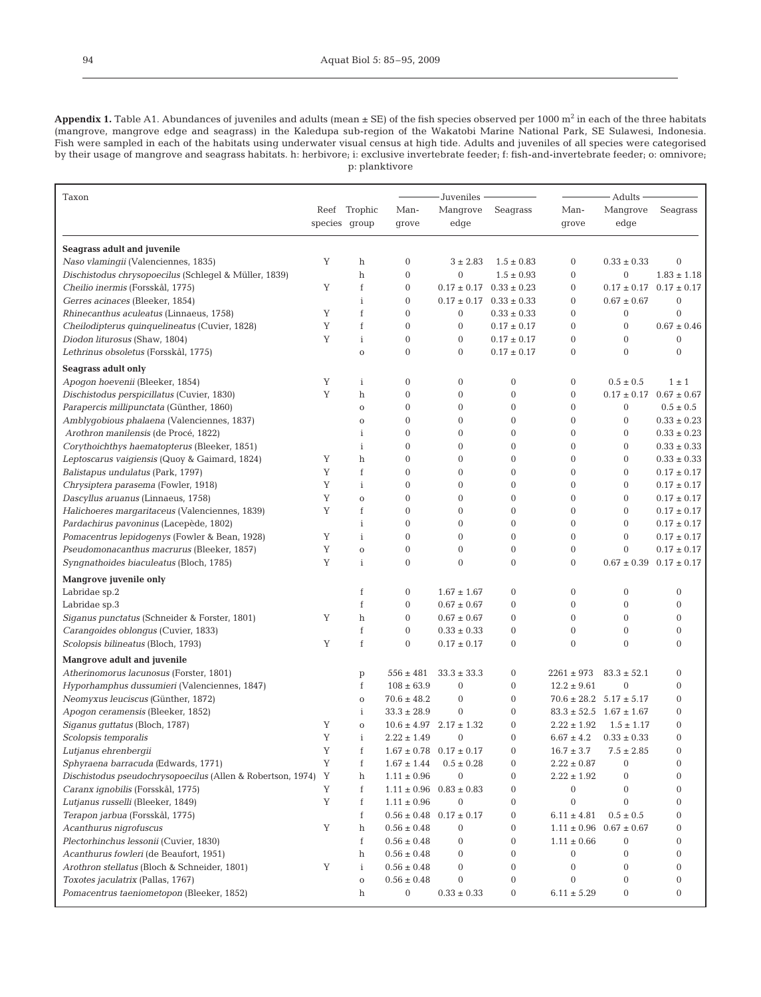Appendix 1. Table A1. Abundances of juveniles and adults (mean ± SE) of the fish species observed per 1000 m<sup>2</sup> in each of the three habitats (mangrove, mangrove edge and seagrass) in the Kaledupa sub-region of the Wakatobi Marine National Park, SE Sulawesi, Indonesia. Fish were sampled in each of the habitats using underwater visual census at high tide. Adults and juveniles of all species were categorised by their usage of mangrove and seagrass habitats. h: herbivore; i: exclusive invertebrate feeder; f: fish-and-invertebrate feeder; o: omnivore; p: planktivore

| Taxon                                                         |   |               |                  | Juveniles                       |                  |                  | - Adults                        |                  |
|---------------------------------------------------------------|---|---------------|------------------|---------------------------------|------------------|------------------|---------------------------------|------------------|
|                                                               |   | Reef Trophic  | Man-             | Mangrove                        | Seagrass         | Man-             | Mangrove                        | Seagrass         |
|                                                               |   | species group | grove            | edge                            |                  | grove            | edge                            |                  |
| Seagrass adult and juvenile                                   |   |               |                  |                                 |                  |                  |                                 |                  |
| Naso vlamingii (Valenciennes, 1835)                           | Y | h             | $\mathbf{0}$     | $3 + 2.83$                      | $1.5 \pm 0.83$   | $\boldsymbol{0}$ | $0.33 \pm 0.33$                 | $\boldsymbol{0}$ |
| Dischistodus chrysopoecilus (Schlegel & Müller, 1839)         |   | h             | $\mathbf{0}$     | $\mathbf{0}$                    | $1.5 \pm 0.93$   | $\boldsymbol{0}$ | $\boldsymbol{0}$                | $1.83 \pm 1.18$  |
| Cheilio inermis (Forsskål, 1775)                              | Υ | f             | $\boldsymbol{0}$ | $0.17 \pm 0.17$                 | $0.33 \pm 0.23$  | $\boldsymbol{0}$ | $0.17 \pm 0.17$                 | $0.17 \pm 0.17$  |
| Gerres acinaces (Bleeker, 1854)                               |   | $\rm i$       | $\boldsymbol{0}$ | $0.17 \pm 0.17$                 | $0.33 \pm 0.33$  | $\mathbf{0}$     | $0.67 \pm 0.67$                 | $\boldsymbol{0}$ |
| Rhinecanthus aculeatus (Linnaeus, 1758)                       | Υ | f             | $\boldsymbol{0}$ | $\boldsymbol{0}$                | $0.33 \pm 0.33$  | $\mathbf{0}$     | $\boldsymbol{0}$                | $\overline{0}$   |
| Cheilodipterus quinquelineatus (Cuvier, 1828)                 | Y | f             | $\boldsymbol{0}$ | $\boldsymbol{0}$                | $0.17 \pm 0.17$  | $\mathbf{0}$     | $\boldsymbol{0}$                | $0.67 \pm 0.46$  |
| Diodon liturosus (Shaw, 1804)                                 | Y | $\mathbf{i}$  | $\mathbf{0}$     | $\mathbf{0}$                    | $0.17 \pm 0.17$  | $\boldsymbol{0}$ | $\boldsymbol{0}$                | $\mathbf{0}$     |
| Lethrinus obsoletus (Forsskål, 1775)                          |   | $\mathbf{o}$  | $\mathbf{0}$     | $\boldsymbol{0}$                | $0.17 \pm 0.17$  | $\boldsymbol{0}$ | $\overline{0}$                  | $\mathbf{0}$     |
| Seagrass adult only                                           |   |               |                  |                                 |                  |                  |                                 |                  |
| Apogon hoevenii (Bleeker, 1854)                               | Υ | $\mathbf{i}$  | $\mathbf{0}$     | $\boldsymbol{0}$                | $\boldsymbol{0}$ | $\overline{0}$   | $0.5 \pm 0.5$                   | $1 \pm 1$        |
| Dischistodus perspicillatus (Cuvier, 1830)                    | Υ | h             | $\mathbf{0}$     | $\boldsymbol{0}$                | $\mathbf{0}$     | $\mathbf{0}$     | $0.17 \pm 0.17$                 | $0.67 \pm 0.67$  |
| Parapercis millipunctata (Günther, 1860)                      |   | $\mathbf{o}$  | $\mathbf{0}$     | $\boldsymbol{0}$                | $\mathbf{0}$     | $\boldsymbol{0}$ | $\boldsymbol{0}$                | $0.5 \pm 0.5$    |
| Amblygobious phalaena (Valenciennes, 1837)                    |   | $\mathbf{o}$  | $\boldsymbol{0}$ | $\boldsymbol{0}$                | $\mathbf{0}$     | $\boldsymbol{0}$ | $\boldsymbol{0}$                | $0.33 \pm 0.23$  |
| Arothron manilensis (de Procé, 1822)                          |   | $\mathbf i$   | $\mathbf{0}$     | $\mathbf{0}$                    | $\boldsymbol{0}$ | $\mathbf{0}$     | $\boldsymbol{0}$                | $0.33 \pm 0.23$  |
| Corythoichthys haematopterus (Bleeker, 1851)                  |   | i             | $\mathbf{0}$     | $\mathbf{0}$                    | $\mathbf{0}$     | $\mathbf{0}$     | $\overline{0}$                  | $0.33 \pm 0.33$  |
| Leptoscarus vaigiensis (Quoy & Gaimard, 1824)                 | Υ | h             | $\boldsymbol{0}$ | $\boldsymbol{0}$                | $\mathbf{0}$     | $\boldsymbol{0}$ | $\boldsymbol{0}$                | $0.33 \pm 0.33$  |
| Balistapus undulatus (Park, 1797)                             | Y | f             | $\mathbf{0}$     | $\mathbf{0}$                    | $\mathbf{0}$     | $\mathbf{0}$     | $\overline{0}$                  | $0.17 \pm 0.17$  |
| Chrysiptera parasema (Fowler, 1918)                           | Y | $\mathbf i$   | $\mathbf{0}$     | $\mathbf{0}$                    | $\mathbf{0}$     | $\mathbf{0}$     | $\overline{0}$                  | $0.17 \pm 0.17$  |
| Dascyllus aruanus (Linnaeus, 1758)                            | Υ | $\mathbf 0$   | $\mathbf{0}$     | $\mathbf{0}$                    | $\mathbf{0}$     | $\overline{0}$   | $\overline{0}$                  | $0.17 \pm 0.17$  |
| Halichoeres margaritaceus (Valenciennes, 1839)                | Υ | f             | $\mathbf{0}$     | $\boldsymbol{0}$                | $\boldsymbol{0}$ | $\boldsymbol{0}$ | $\boldsymbol{0}$                | $0.17 \pm 0.17$  |
| Pardachirus pavoninus (Lacepède, 1802)                        |   | $\mathbf i$   | $\mathbf{0}$     | $\boldsymbol{0}$                | $\mathbf{0}$     | $\mathbf{0}$     | $\mathbf{0}$                    | $0.17 \pm 0.17$  |
| Pomacentrus lepidogenys (Fowler & Bean, 1928)                 | Υ | $\mathbf{i}$  | $\mathbf{0}$     | $\mathbf{0}$                    | $\mathbf{0}$     | $\mathbf{0}$     | $\overline{0}$                  | $0.17 \pm 0.17$  |
| Pseudomonacanthus macrurus (Bleeker, 1857)                    | Υ | $\mathbf 0$   | $\mathbf{0}$     | $\boldsymbol{0}$                | $\boldsymbol{0}$ | $\boldsymbol{0}$ | $\mathbf{0}$                    | $0.17 \pm 0.17$  |
| Syngnathoides biaculeatus (Bloch, 1785)                       | Y | $\mathbf{i}$  | $\mathbf{0}$     | $\mathbf{0}$                    | $\mathbf{0}$     | $\overline{0}$   | $0.67 \pm 0.39$                 | $0.17 \pm 0.17$  |
| Mangrove juvenile only                                        |   |               |                  |                                 |                  |                  |                                 |                  |
| Labridae sp.2                                                 |   | f             | $\boldsymbol{0}$ | $1.67 \pm 1.67$                 | $\boldsymbol{0}$ | $\boldsymbol{0}$ | $\boldsymbol{0}$                | 0                |
| Labridae sp.3                                                 |   | f             | $\boldsymbol{0}$ | $0.67 \pm 0.67$                 | $\boldsymbol{0}$ | $\boldsymbol{0}$ | $\boldsymbol{0}$                | $\boldsymbol{0}$ |
| Siganus punctatus (Schneider & Forster, 1801)                 | Υ | h             | $\boldsymbol{0}$ | $0.67 \pm 0.67$                 | $\boldsymbol{0}$ | $\overline{0}$   | $\overline{0}$                  | $\boldsymbol{0}$ |
| Carangoides oblongus (Cuvier, 1833)                           |   | f             | $\mathbf{0}$     | $0.33 \pm 0.33$                 | $\boldsymbol{0}$ | $\boldsymbol{0}$ | $\boldsymbol{0}$                | $\boldsymbol{0}$ |
| Scolopsis bilineatus (Bloch, 1793)                            | Y | f             | $\mathbf{0}$     | $0.17 \pm 0.17$                 | $\boldsymbol{0}$ | $\overline{0}$   | $\overline{0}$                  | $\overline{0}$   |
| Mangrove adult and juvenile                                   |   |               |                  |                                 |                  |                  |                                 |                  |
| Atherinomorus lacunosus (Forster, 1801)                       |   | p             | $556 \pm 481$    | $33.3 \pm 33.3$                 | $\mathbf{0}$     | $2261 \pm 973$   | $83.3 \pm 52.1$                 | $\boldsymbol{0}$ |
| Hyporhamphus dussumieri (Valenciennes, 1847)                  |   | f             | $108 \pm 63.9$   | $\boldsymbol{0}$                | $\boldsymbol{0}$ | $12.2 \pm 9.61$  | $\mathbf{0}$                    | $\boldsymbol{0}$ |
| Neomyxus leuciscus (Günther, 1872)                            |   | $\mathbf{o}$  | $70.6 \pm 48.2$  | $\mathbf{0}$                    | $\boldsymbol{0}$ |                  | $70.6 \pm 28.2$ $5.17 \pm 5.17$ | $\boldsymbol{0}$ |
| Apogon ceramensis (Bleeker, 1852)                             |   | $\mathbf{i}$  | $33.3 \pm 28.9$  | $\mathbf{0}$                    | $\boldsymbol{0}$ |                  | $83.3 \pm 52.5$ $1.67 \pm 1.67$ | $\boldsymbol{0}$ |
| Siganus guttatus (Bloch, 1787)                                | Υ | $\mathbf 0$   |                  | $10.6 \pm 4.97$ $2.17 \pm 1.32$ | $\mathbf{0}$     | $2.22 \pm 1.92$  | $1.5 \pm 1.17$                  | $\boldsymbol{0}$ |
| Scolopsis temporalis                                          | Y | i             | $2.22 \pm 1.49$  | $\overline{0}$                  | $\Omega$         |                  | $6.67 \pm 4.2$ $0.33 \pm 0.33$  | $\mathbf{0}$     |
| Lutjanus ehrenbergii                                          | Υ | f             |                  | $1.67 \pm 0.78$ 0.17 $\pm$ 0.17 | $\boldsymbol{0}$ | $16.7 \pm 3.7$   | $7.5 \pm 2.85$                  | $\overline{0}$   |
| Sphyraena barracuda (Edwards, 1771)                           | Υ | f             | $1.67 \pm 1.44$  | $0.5 \pm 0.28$                  | $\boldsymbol{0}$ | $2.22 \pm 0.87$  | $\boldsymbol{0}$                | 0                |
| Dischistodus pseudochrysopoecilus (Allen & Robertson, 1974) Y |   | h             | $1.11 \pm 0.96$  | $\boldsymbol{0}$                | $\boldsymbol{0}$ | $2.22 \pm 1.92$  | 0                               | $\boldsymbol{0}$ |
| Caranx ignobilis (Forsskål, 1775)                             | Υ | f             |                  | $1.11 \pm 0.96$ $0.83 \pm 0.83$ | $\mathbf{0}$     | $\boldsymbol{0}$ | $\mathbf{0}$                    | $\boldsymbol{0}$ |
| Lutjanus russelli (Bleeker, 1849)                             | Υ | f             | $1.11 \pm 0.96$  | 0                               | $\boldsymbol{0}$ | 0                | 0                               | 0                |
| Terapon jarbua (Forsskål, 1775)                               |   | f             |                  | $0.56 \pm 0.48$ $0.17 \pm 0.17$ | $\boldsymbol{0}$ | $6.11 \pm 4.81$  | $0.5 \pm 0.5$                   | $\boldsymbol{0}$ |
| Acanthurus nigrofuscus                                        | Y | h             | $0.56 \pm 0.48$  | $\boldsymbol{0}$                | $\mathbf{0}$     |                  | $1.11 \pm 0.96$ 0.67 $\pm 0.67$ | 0                |
| Plectorhinchus lessonii (Cuvier, 1830)                        |   | f             | $0.56 \pm 0.48$  | $\mathbf{0}$                    | $\boldsymbol{0}$ | $1.11 \pm 0.66$  | 0                               | $\boldsymbol{0}$ |
| Acanthurus fowleri (de Beaufort, 1951)                        |   | h             | $0.56 \pm 0.48$  | $\mathbf{0}$                    | $\mathbf{0}$     | 0                | 0                               | 0                |
| Arothron stellatus (Bloch & Schneider, 1801)                  | Υ | $\mathbf{i}$  | $0.56 \pm 0.48$  | $\boldsymbol{0}$                | $\boldsymbol{0}$ | 0                | 0                               | 0                |
| Toxotes jaculatrix (Pallas, 1767)                             |   | $\mathbf O$   | $0.56 \pm 0.48$  | $\boldsymbol{0}$                | $\boldsymbol{0}$ | 0                | 0                               | 0                |
| Pomacentrus taeniometopon (Bleeker, 1852)                     |   | h             | $\boldsymbol{0}$ | $0.33 \pm 0.33$                 | $\boldsymbol{0}$ | $6.11 \pm 5.29$  | $\boldsymbol{0}$                | $\mathbf{0}$     |